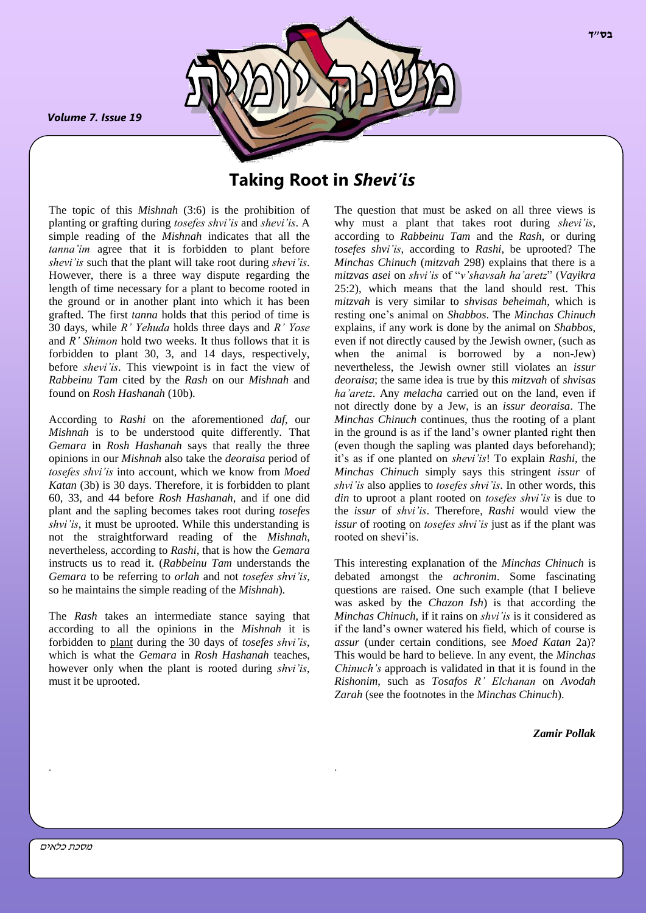*Volume 7. Issue 19*

*.*



# **Taking Root in** *Shevi'is*

The topic of this *Mishnah* (3:6) is the prohibition of planting or grafting during *tosefes shvi'is* and *shevi'is*. A simple reading of the *Mishnah* indicates that all the *tanna'im* agree that it is forbidden to plant before *shevi'is* such that the plant will take root during *shevi'is*. However, there is a three way dispute regarding the length of time necessary for a plant to become rooted in the ground or in another plant into which it has been grafted. The first *tanna* holds that this period of time is 30 days, while *R' Yehuda* holds three days and *R' Yose* and *R' Shimon* hold two weeks. It thus follows that it is forbidden to plant 30, 3, and 14 days, respectively, before *shevi'is*. This viewpoint is in fact the view of *Rabbeinu Tam* cited by the *Rash* on our *Mishnah* and found on *Rosh Hashanah* (10b).

According to *Rashi* on the aforementioned *daf*, our *Mishnah* is to be understood quite differently. That *Gemara* in *Rosh Hashanah* says that really the three opinions in our *Mishnah* also take the *deoraisa* period of *tosefes shvi'is* into account, which we know from *Moed Katan* (3b) is 30 days. Therefore, it is forbidden to plant 60, 33, and 44 before *Rosh Hashanah*, and if one did plant and the sapling becomes takes root during *tosefes shvi'is*, it must be uprooted. While this understanding is not the straightforward reading of the *Mishnah*, nevertheless, according to *Rashi*, that is how the *Gemara* instructs us to read it. (*Rabbeinu Tam* understands the *Gemara* to be referring to *orlah* and not *tosefes shvi'is*, so he maintains the simple reading of the *Mishnah*).

The *Rash* takes an intermediate stance saying that according to all the opinions in the *Mishnah* it is forbidden to plant during the 30 days of *tosefes shvi'is*, which is what the *Gemara* in *Rosh Hashanah* teaches, however only when the plant is rooted during *shvi'is*, must it be uprooted.

. .

The question that must be asked on all three views is why must a plant that takes root during *shevi'is*, according to *Rabbeinu Tam* and the *Rash*, or during *tosefes shvi'is*, according to *Rashi*, be uprooted? The *Minchas Chinuch* (*mitzvah* 298) explains that there is a *mitzvas asei* on *shvi'is* of "*v'shavsah ha'aretz*" (*Vayikra* 25:2), which means that the land should rest. This *mitzvah* is very similar to *shvisas beheimah*, which is resting one's animal on *Shabbos*. The *Minchas Chinuch* explains, if any work is done by the animal on *Shabbos*, even if not directly caused by the Jewish owner, (such as when the animal is borrowed by a non-Jew) nevertheless, the Jewish owner still violates an *issur deoraisa*; the same idea is true by this *mitzvah* of *shvisas ha'aretz*. Any *melacha* carried out on the land, even if not directly done by a Jew, is an *issur deoraisa*. The *Minchas Chinuch* continues, thus the rooting of a plant in the ground is as if the land's owner planted right then (even though the sapling was planted days beforehand); it's as if one planted on *shevi'is*! To explain *Rashi*, the *Minchas Chinuch* simply says this stringent *issur* of *shvi'is* also applies to *tosefes shvi'is*. In other words, this *din* to uproot a plant rooted on *tosefes shvi'is* is due to the *issur* of *shvi'is*. Therefore, *Rashi* would view the *issur* of rooting on *tosefes shvi'is* just as if the plant was rooted on shevi'is.

This interesting explanation of the *Minchas Chinuch* is debated amongst the *achronim*. Some fascinating questions are raised. One such example (that I believe was asked by the *Chazon Ish*) is that according the *Minchas Chinuch*, if it rains on *shvi'is* is it considered as if the land's owner watered his field, which of course is *assur* (under certain conditions, see *Moed Katan* 2a)? This would be hard to believe. In any event, the *Minchas Chinuch's* approach is validated in that it is found in the *Rishonim*, such as *Tosafos R' Elchanan* on *Avodah Zarah* (see the footnotes in the *Minchas Chinuch*).

*Zamir Pollak*

**בס"ד**